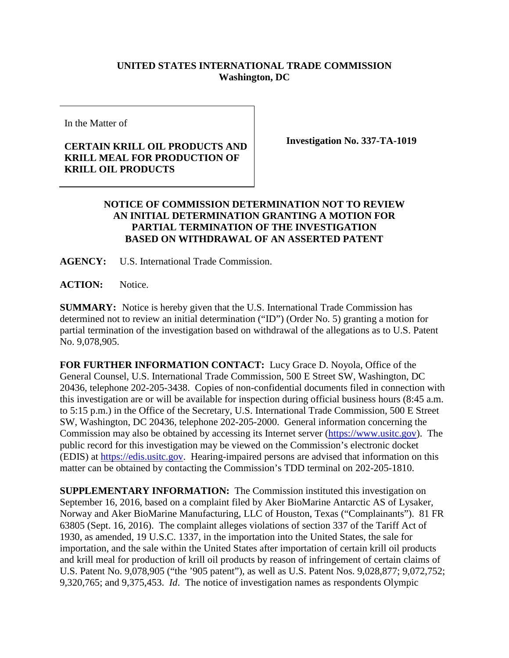## **UNITED STATES INTERNATIONAL TRADE COMMISSION Washington, DC**

In the Matter of

## **CERTAIN KRILL OIL PRODUCTS AND KRILL MEAL FOR PRODUCTION OF KRILL OIL PRODUCTS**

**Investigation No. 337-TA-1019**

## **NOTICE OF COMMISSION DETERMINATION NOT TO REVIEW AN INITIAL DETERMINATION GRANTING A MOTION FOR PARTIAL TERMINATION OF THE INVESTIGATION BASED ON WITHDRAWAL OF AN ASSERTED PATENT**

**AGENCY:** U.S. International Trade Commission.

**ACTION:** Notice.

**SUMMARY:** Notice is hereby given that the U.S. International Trade Commission has determined not to review an initial determination ("ID") (Order No. 5) granting a motion for partial termination of the investigation based on withdrawal of the allegations as to U.S. Patent No. 9,078,905.

**FOR FURTHER INFORMATION CONTACT:** Lucy Grace D. Noyola, Office of the General Counsel, U.S. International Trade Commission, 500 E Street SW, Washington, DC 20436, telephone 202-205-3438. Copies of non-confidential documents filed in connection with this investigation are or will be available for inspection during official business hours (8:45 a.m. to 5:15 p.m.) in the Office of the Secretary, U.S. International Trade Commission, 500 E Street SW, Washington, DC 20436, telephone 202-205-2000. General information concerning the Commission may also be obtained by accessing its Internet server [\(https://www.usitc.gov\)](https://www.usitc.gov/). The public record for this investigation may be viewed on the Commission's electronic docket (EDIS) at [https://edis.usitc.gov.](https://edis.usitc.gov/) Hearing-impaired persons are advised that information on this matter can be obtained by contacting the Commission's TDD terminal on 202-205-1810.

**SUPPLEMENTARY INFORMATION:** The Commission instituted this investigation on September 16, 2016, based on a complaint filed by Aker BioMarine Antarctic AS of Lysaker, Norway and Aker BioMarine Manufacturing, LLC of Houston, Texas ("Complainants"). 81 FR 63805 (Sept. 16, 2016). The complaint alleges violations of section 337 of the Tariff Act of 1930, as amended, 19 U.S.C. 1337, in the importation into the United States, the sale for importation, and the sale within the United States after importation of certain krill oil products and krill meal for production of krill oil products by reason of infringement of certain claims of U.S. Patent No. 9,078,905 ("the '905 patent"), as well as U.S. Patent Nos. 9,028,877; 9,072,752; 9,320,765; and 9,375,453. *Id*. The notice of investigation names as respondents Olympic